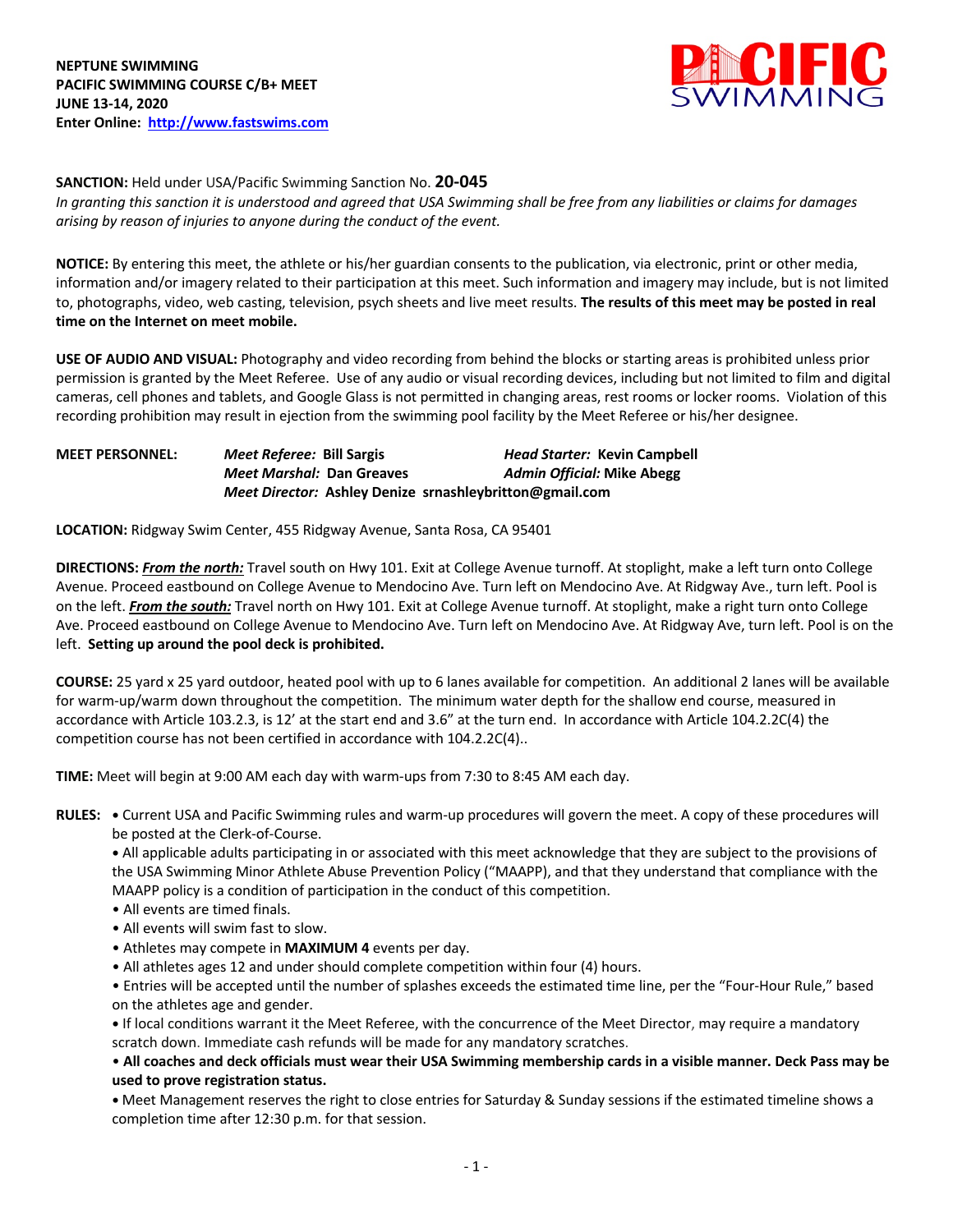

**SANCTION:** Held under USA/Pacific Swimming Sanction No. **20-045**

*In granting this sanction it is understood and agreed that USA Swimming shall be free from any liabilities or claims for damages arising by reason of injuries to anyone during the conduct of the event.* 

**NOTICE:** By entering this meet, the athlete or his/her guardian consents to the publication, via electronic, print or other media, information and/or imagery related to their participation at this meet. Such information and imagery may include, but is not limited to, photographs, video, web casting, television, psych sheets and live meet results. **The results of this meet may be posted in real time on the Internet on meet mobile.** 

**USE OF AUDIO AND VISUAL:** Photography and video recording from behind the blocks or starting areas is prohibited unless prior permission is granted by the Meet Referee. Use of any audio or visual recording devices, including but not limited to film and digital cameras, cell phones and tablets, and Google Glass is not permitted in changing areas, rest rooms or locker rooms. Violation of this recording prohibition may result in ejection from the swimming pool facility by the Meet Referee or his/her designee.

| <b>MEET PERSONNEL:</b> | Meet Referee: Bill Sargis                               | <b>Head Starter: Kevin Campbell</b> |
|------------------------|---------------------------------------------------------|-------------------------------------|
|                        | <b>Meet Marshal: Dan Greaves</b>                        | <b>Admin Official: Mike Abegg</b>   |
|                        | Meet Director: Ashley Denize srnashleybritton@gmail.com |                                     |

**LOCATION:** Ridgway Swim Center, 455 Ridgway Avenue, Santa Rosa, CA 95401

**DIRECTIONS:** *From the north:* Travel south on Hwy 101. Exit at College Avenue turnoff. At stoplight, make a left turn onto College Avenue. Proceed eastbound on College Avenue to Mendocino Ave. Turn left on Mendocino Ave. At Ridgway Ave., turn left. Pool is on the left. *From the south:* Travel north on Hwy 101. Exit at College Avenue turnoff. At stoplight, make a right turn onto College Ave. Proceed eastbound on College Avenue to Mendocino Ave. Turn left on Mendocino Ave. At Ridgway Ave, turn left. Pool is on the left. **Setting up around the pool deck is prohibited.**

**COURSE:** 25 yard x 25 yard outdoor, heated pool with up to 6 lanes available for competition. An additional 2 lanes will be available for warm-up/warm down throughout the competition. The minimum water depth for the shallow end course, measured in accordance with Article 103.2.3, is 12' at the start end and 3.6" at the turn end. In accordance with Article 104.2.2C(4) the competition course has not been certified in accordance with 104.2.2C(4)..

**TIME:** Meet will begin at 9:00 AM each day with warm-ups from 7:30 to 8:45 AM each day.

**RULES: •** Current USA and Pacific Swimming rules and warm-up procedures will govern the meet. A copy of these procedures will be posted at the Clerk-of-Course.

**•** All applicable adults participating in or associated with this meet acknowledge that they are subject to the provisions of the USA Swimming Minor Athlete Abuse Prevention Policy ("MAAPP), and that they understand that compliance with the MAAPP policy is a condition of participation in the conduct of this competition.

- All events are timed finals.
- All events will swim fast to slow.
- Athletes may compete in **MAXIMUM 4** events per day.
- All athletes ages 12 and under should complete competition within four (4) hours.

• Entries will be accepted until the number of splashes exceeds the estimated time line, per the "Four-Hour Rule," based on the athletes age and gender.

**•** If local conditions warrant it the Meet Referee, with the concurrence of the Meet Director, may require a mandatory scratch down. Immediate cash refunds will be made for any mandatory scratches.

• **All coaches and deck officials must wear their USA Swimming membership cards in a visible manner. Deck Pass may be used to prove registration status.**

**•** Meet Management reserves the right to close entries for Saturday & Sunday sessions if the estimated timeline shows a completion time after 12:30 p.m. for that session.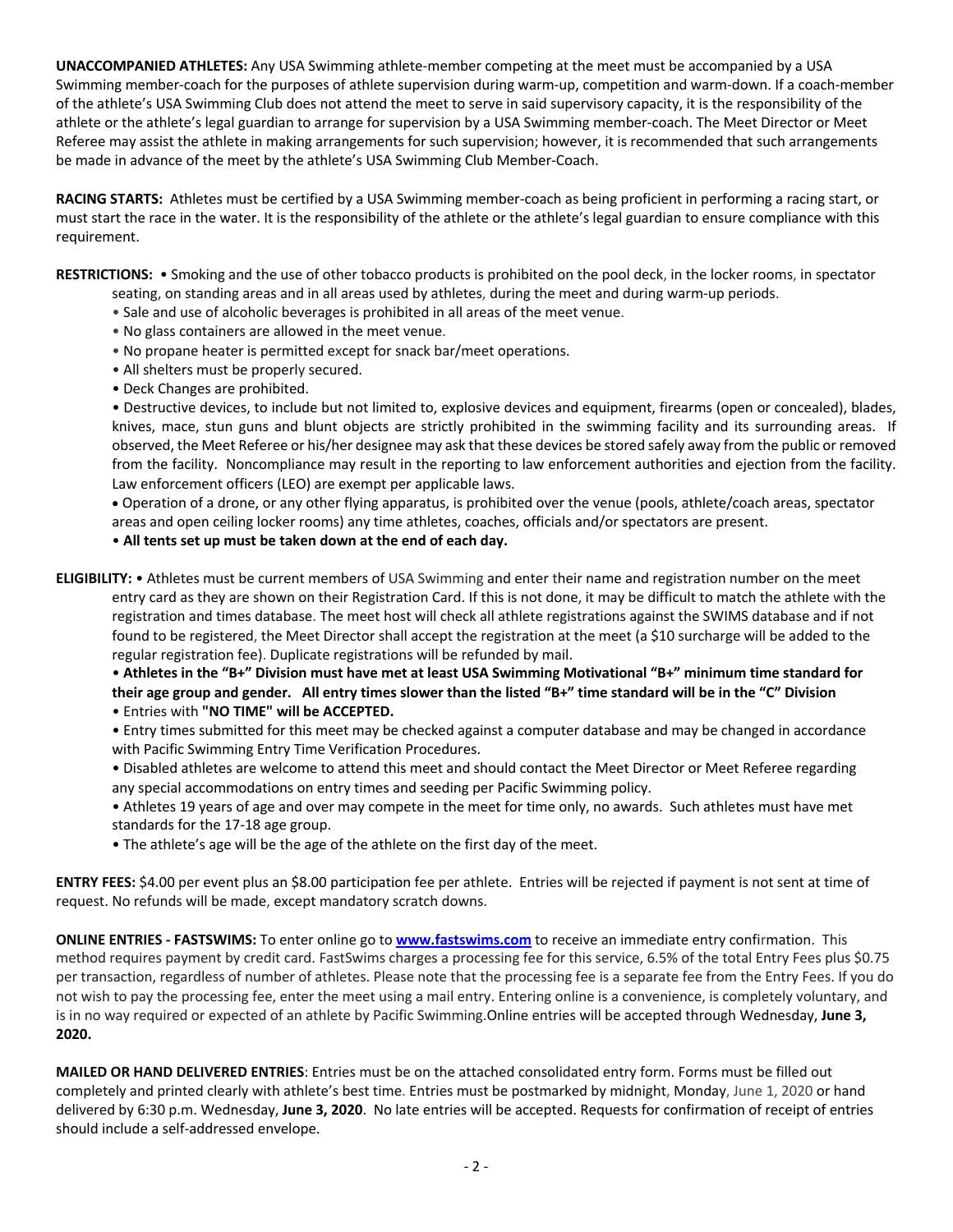**UNACCOMPANIED ATHLETES:** Any USA Swimming athlete-member competing at the meet must be accompanied by a USA Swimming member-coach for the purposes of athlete supervision during warm-up, competition and warm-down. If a coach-member of the athlete's USA Swimming Club does not attend the meet to serve in said supervisory capacity, it is the responsibility of the athlete or the athlete's legal guardian to arrange for supervision by a USA Swimming member-coach. The Meet Director or Meet Referee may assist the athlete in making arrangements for such supervision; however, it is recommended that such arrangements be made in advance of the meet by the athlete's USA Swimming Club Member-Coach.

**RACING STARTS:** Athletes must be certified by a USA Swimming member-coach as being proficient in performing a racing start, or must start the race in the water. It is the responsibility of the athlete or the athlete's legal guardian to ensure compliance with this requirement.

**RESTRICTIONS:** • Smoking and the use of other tobacco products is prohibited on the pool deck, in the locker rooms, in spectator seating, on standing areas and in all areas used by athletes, during the meet and during warm-up periods.

- Sale and use of alcoholic beverages is prohibited in all areas of the meet venue.
- No glass containers are allowed in the meet venue.
- No propane heater is permitted except for snack bar/meet operations.
- All shelters must be properly secured.
- Deck Changes are prohibited.

• Destructive devices, to include but not limited to, explosive devices and equipment, firearms (open or concealed), blades, knives, mace, stun guns and blunt objects are strictly prohibited in the swimming facility and its surrounding areas. If observed, the Meet Referee or his/her designee may ask that these devices be stored safely away from the public or removed from the facility. Noncompliance may result in the reporting to law enforcement authorities and ejection from the facility. Law enforcement officers (LEO) are exempt per applicable laws.

• Operation of a drone, or any other flying apparatus, is prohibited over the venue (pools, athlete/coach areas, spectator areas and open ceiling locker rooms) any time athletes, coaches, officials and/or spectators are present.

• **All tents set up must be taken down at the end of each day.**

**ELIGIBILITY:** • Athletes must be current members of USA Swimming and enter their name and registration number on the meet entry card as they are shown on their Registration Card. If this is not done, it may be difficult to match the athlete with the registration and times database. The meet host will check all athlete registrations against the SWIMS database and if not found to be registered, the Meet Director shall accept the registration at the meet (a \$10 surcharge will be added to the regular registration fee). Duplicate registrations will be refunded by mail.

• **Athletes in the "B+" Division must have met at least USA Swimming Motivational "B+" minimum time standard for their age group and gender. All entry times slower than the listed "B+" time standard will be in the "C" Division** • Entries with **"NO TIME" will be ACCEPTED.**

• Entry times submitted for this meet may be checked against a computer database and may be changed in accordance with Pacific Swimming Entry Time Verification Procedures.

• Disabled athletes are welcome to attend this meet and should contact the Meet Director or Meet Referee regarding any special accommodations on entry times and seeding per Pacific Swimming policy.

- Athletes 19 years of age and over may compete in the meet for time only, no awards. Such athletes must have met standards for the 17-18 age group.
- The athlete's age will be the age of the athlete on the first day of the meet.

**ENTRY FEES:** \$4.00 per event plus an \$8.00 participation fee per athlete. Entries will be rejected if payment is not sent at time of request. No refunds will be made, except mandatory scratch downs.

**ONLINE ENTRIES - FASTSWIMS:** To enter online go to **www.fastswims.com** to receive an immediate entry confirmation. This method requires payment by credit card. FastSwims charges a processing fee for this service, 6.5% of the total Entry Fees plus \$0.75 per transaction, regardless of number of athletes. Please note that the processing fee is a separate fee from the Entry Fees. If you do not wish to pay the processing fee, enter the meet using a mail entry. Entering online is a convenience, is completely voluntary, and is in no way required or expected of an athlete by Pacific Swimming.Online entries will be accepted through Wednesday, **June 3, 2020.**

**MAILED OR HAND DELIVERED ENTRIES**: Entries must be on the attached consolidated entry form. Forms must be filled out completely and printed clearly with athlete's best time. Entries must be postmarked by midnight, Monday, June 1, 2020 or hand delivered by 6:30 p.m. Wednesday, **June 3, 2020**. No late entries will be accepted. Requests for confirmation of receipt of entries should include a self-addressed envelope.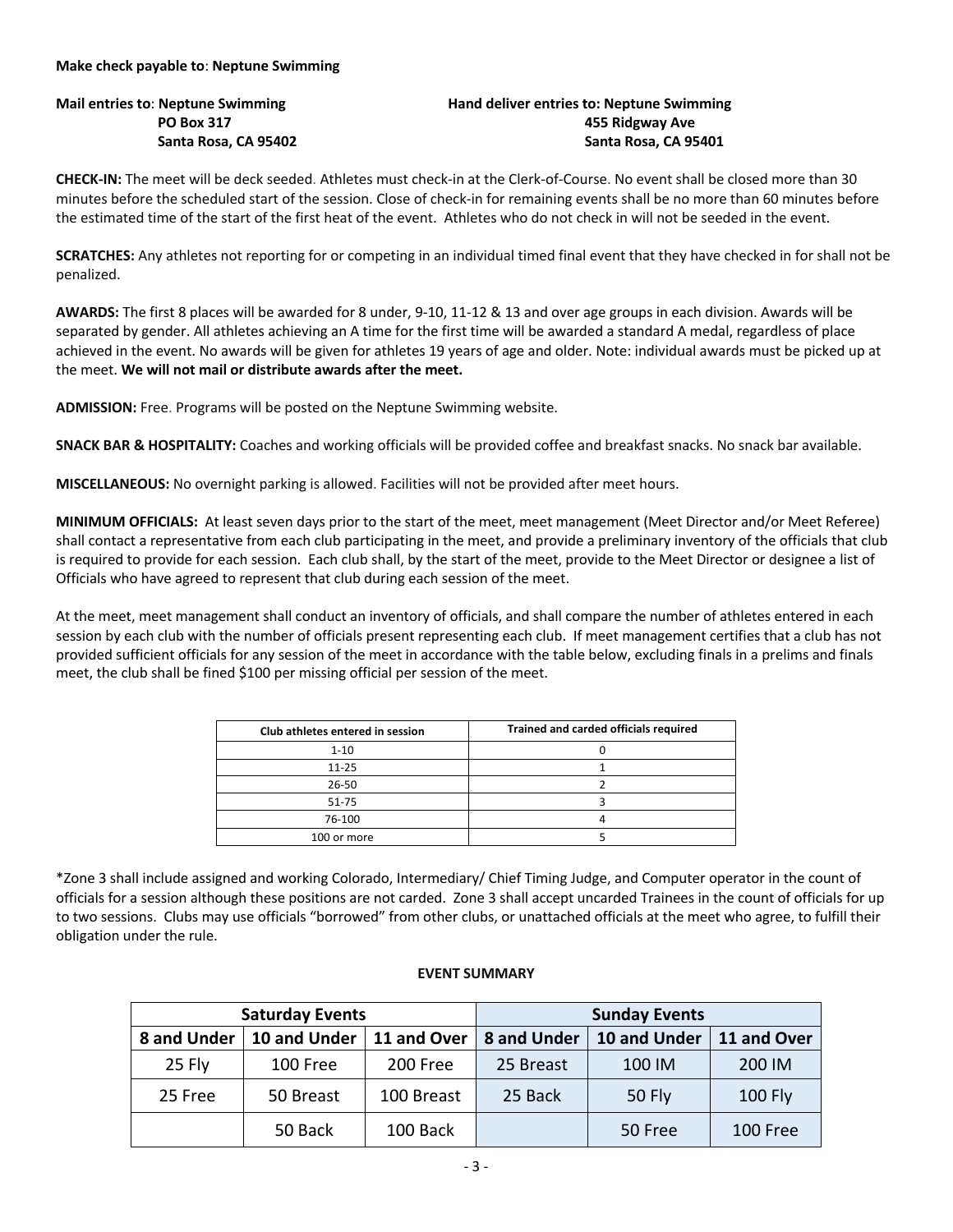## **Make check payable to**: **Neptune Swimming**

## **Mail entries to**: **Neptune Swimming Hand deliver entries to: Neptune Swimming PO Box 317 455 Ridgway Ave Santa Rosa, CA 95402 Santa Rosa, CA 95401**

**CHECK-IN:** The meet will be deck seeded. Athletes must check-in at the Clerk-of-Course. No event shall be closed more than 30 minutes before the scheduled start of the session. Close of check-in for remaining events shall be no more than 60 minutes before the estimated time of the start of the first heat of the event. Athletes who do not check in will not be seeded in the event.

**SCRATCHES:** Any athletes not reporting for or competing in an individual timed final event that they have checked in for shall not be penalized.

**AWARDS:** The first 8 places will be awarded for 8 under, 9-10, 11-12 & 13 and over age groups in each division. Awards will be separated by gender. All athletes achieving an A time for the first time will be awarded a standard A medal, regardless of place achieved in the event. No awards will be given for athletes 19 years of age and older. Note: individual awards must be picked up at the meet. **We will not mail or distribute awards after the meet.**

**ADMISSION:** Free. Programs will be posted on the Neptune Swimming website.

**SNACK BAR & HOSPITALITY:** Coaches and working officials will be provided coffee and breakfast snacks. No snack bar available.

**MISCELLANEOUS:** No overnight parking is allowed. Facilities will not be provided after meet hours.

**MINIMUM OFFICIALS:** At least seven days prior to the start of the meet, meet management (Meet Director and/or Meet Referee) shall contact a representative from each club participating in the meet, and provide a preliminary inventory of the officials that club is required to provide for each session. Each club shall, by the start of the meet, provide to the Meet Director or designee a list of Officials who have agreed to represent that club during each session of the meet.

At the meet, meet management shall conduct an inventory of officials, and shall compare the number of athletes entered in each session by each club with the number of officials present representing each club. If meet management certifies that a club has not provided sufficient officials for any session of the meet in accordance with the table below, excluding finals in a prelims and finals meet, the club shall be fined \$100 per missing official per session of the meet.

| Club athletes entered in session | Trained and carded officials required |  |  |  |  |
|----------------------------------|---------------------------------------|--|--|--|--|
| $1 - 10$                         |                                       |  |  |  |  |
| $11 - 25$                        |                                       |  |  |  |  |
| 26-50                            |                                       |  |  |  |  |
| $51 - 75$                        |                                       |  |  |  |  |
| 76-100                           |                                       |  |  |  |  |
| 100 or more                      |                                       |  |  |  |  |

\*Zone 3 shall include assigned and working Colorado, Intermediary/ Chief Timing Judge, and Computer operator in the count of officials for a session although these positions are not carded. Zone 3 shall accept uncarded Trainees in the count of officials for up to two sessions. Clubs may use officials "borrowed" from other clubs, or unattached officials at the meet who agree, to fulfill their obligation under the rule.

## **EVENT SUMMARY**

|             | <b>Saturday Events</b>     |          | <b>Sunday Events</b> |               |                |  |  |
|-------------|----------------------------|----------|----------------------|---------------|----------------|--|--|
| 8 and Under | 10 and Under   11 and Over |          | 8 and Under          | 10 and Under  | 11 and Over    |  |  |
| 25 Fly      | 100 Free<br>200 Free       |          | 25 Breast            | 100 IM        | 200 IM         |  |  |
| 25 Free     | 100 Breast<br>50 Breast    |          | 25 Back              | <b>50 Fly</b> | <b>100 Fly</b> |  |  |
|             | 50 Back                    | 100 Back |                      | 50 Free       | 100 Free       |  |  |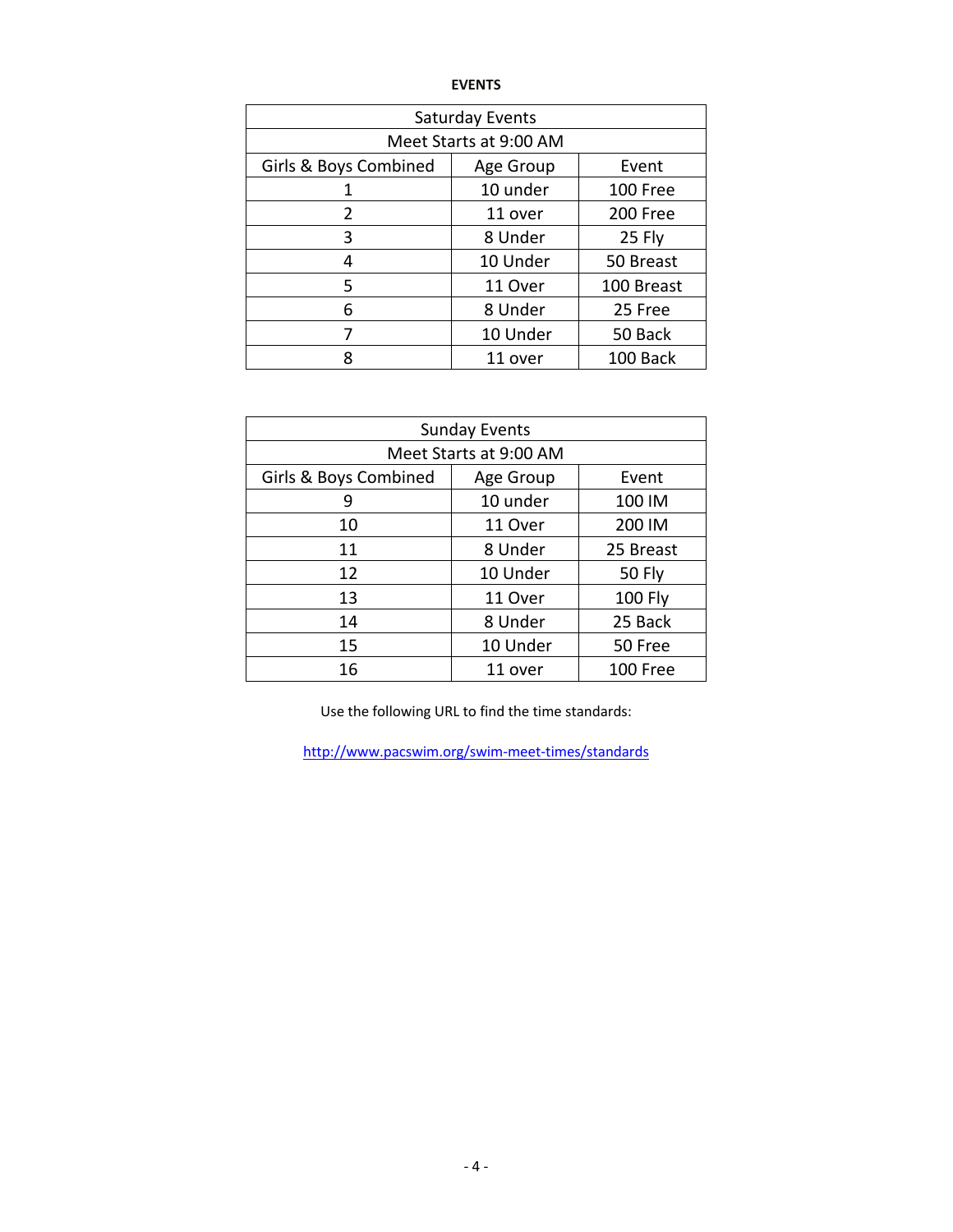| <b>Saturday Events</b> |           |            |  |  |  |  |  |  |
|------------------------|-----------|------------|--|--|--|--|--|--|
| Meet Starts at 9:00 AM |           |            |  |  |  |  |  |  |
| Girls & Boys Combined  | Age Group | Event      |  |  |  |  |  |  |
| 1                      | 10 under  | 100 Free   |  |  |  |  |  |  |
| 2                      | 11 over   | 200 Free   |  |  |  |  |  |  |
| 3                      | 8 Under   | 25 Fly     |  |  |  |  |  |  |
| 4                      | 10 Under  | 50 Breast  |  |  |  |  |  |  |
| 5                      | 11 Over   | 100 Breast |  |  |  |  |  |  |
| 6                      | 8 Under   | 25 Free    |  |  |  |  |  |  |
|                        | 10 Under  | 50 Back    |  |  |  |  |  |  |
|                        | 11 over   | 100 Back   |  |  |  |  |  |  |

| <b>Sunday Events</b>   |           |                |  |  |  |  |  |  |
|------------------------|-----------|----------------|--|--|--|--|--|--|
| Meet Starts at 9:00 AM |           |                |  |  |  |  |  |  |
| Girls & Boys Combined  | Age Group | Event          |  |  |  |  |  |  |
| 9                      | 10 under  | 100 IM         |  |  |  |  |  |  |
| 10                     | 11 Over   | 200 IM         |  |  |  |  |  |  |
| 11                     | 8 Under   | 25 Breast      |  |  |  |  |  |  |
| 12                     | 10 Under  | <b>50 Fly</b>  |  |  |  |  |  |  |
| 13                     | 11 Over   | <b>100 Fly</b> |  |  |  |  |  |  |
| 14                     | 8 Under   | 25 Back        |  |  |  |  |  |  |
| 15                     | 10 Under  | 50 Free        |  |  |  |  |  |  |
| 16                     | 11 over   | 100 Free       |  |  |  |  |  |  |

Use the following URL to find the time standards:

http://www.pacswim.org/swim-meet-times/standards